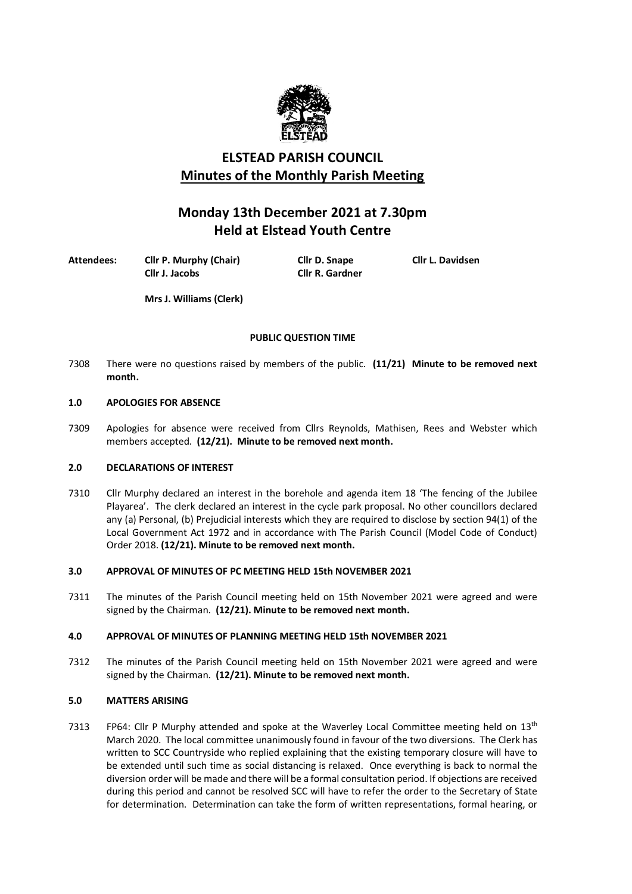

# **ELSTEAD PARISH COUNCIL Minutes of the Monthly Parish Meeting**

# **Monday 13th December 2021 at 7.30pm Held at Elstead Youth Centre**

**Attendees: Cllr P. Murphy (Chair) Cllr D. Snape Cllr L. Davidsen**

**Cllr J. Jacobs Cllr R. Gardner**

**Mrs J. Williams (Clerk)**

# **PUBLIC QUESTION TIME**

7308 There were no questions raised by members of the public. **(11/21) Minute to be removed next month.**

# **1.0 APOLOGIES FOR ABSENCE**

7309 Apologies for absence were received from Cllrs Reynolds, Mathisen, Rees and Webster which members accepted. **(12/21). Minute to be removed next month.**

## **2.0 DECLARATIONS OF INTEREST**

7310 Cllr Murphy declared an interest in the borehole and agenda item 18 'The fencing of the Jubilee Playarea'. The clerk declared an interest in the cycle park proposal. No other councillors declared any (a) Personal, (b) Prejudicial interests which they are required to disclose by section 94(1) of the Local Government Act 1972 and in accordance with The Parish Council (Model Code of Conduct) Order 2018. **(12/21). Minute to be removed next month.**

## **3.0 APPROVAL OF MINUTES OF PC MEETING HELD 15th NOVEMBER 2021**

7311 The minutes of the Parish Council meeting held on 15th November 2021 were agreed and were signed by the Chairman. **(12/21). Minute to be removed next month.**

## **4.0 APPROVAL OF MINUTES OF PLANNING MEETING HELD 15th NOVEMBER 2021**

7312 The minutes of the Parish Council meeting held on 15th November 2021 were agreed and were signed by the Chairman. **(12/21). Minute to be removed next month.**

## **5.0 MATTERS ARISING**

7313 FP64: Cllr P Murphy attended and spoke at the Waverley Local Committee meeting held on  $13<sup>th</sup>$ March 2020. The local committee unanimously found in favour of the two diversions. The Clerk has written to SCC Countryside who replied explaining that the existing temporary closure will have to be extended until such time as social distancing is relaxed. Once everything is back to normal the diversion order will be made and there will be a formal consultation period. If objections are received during this period and cannot be resolved SCC will have to refer the order to the Secretary of State for determination. Determination can take the form of written representations, formal hearing, or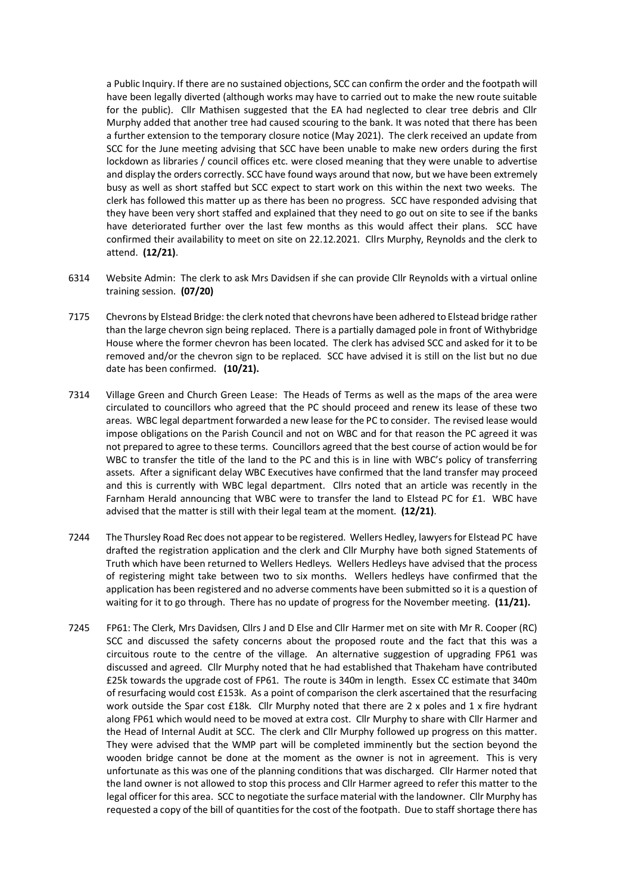a Public Inquiry. If there are no sustained objections, SCC can confirm the order and the footpath will have been legally diverted (although works may have to carried out to make the new route suitable for the public). Cllr Mathisen suggested that the EA had neglected to clear tree debris and Cllr Murphy added that another tree had caused scouring to the bank. It was noted that there has been a further extension to the temporary closure notice (May 2021). The clerk received an update from SCC for the June meeting advising that SCC have been unable to make new orders during the first lockdown as libraries / council offices etc. were closed meaning that they were unable to advertise and display the orders correctly. SCC have found ways around that now, but we have been extremely busy as well as short staffed but SCC expect to start work on this within the next two weeks. The clerk has followed this matter up as there has been no progress. SCC have responded advising that they have been very short staffed and explained that they need to go out on site to see if the banks have deteriorated further over the last few months as this would affect their plans. SCC have confirmed their availability to meet on site on 22.12.2021. Cllrs Murphy, Reynolds and the clerk to attend. **(12/21)**.

- 6314 Website Admin: The clerk to ask Mrs Davidsen if she can provide Cllr Reynolds with a virtual online training session. **(07/20)**
- 7175 Chevrons by Elstead Bridge: the clerk noted that chevrons have been adhered to Elstead bridge rather than the large chevron sign being replaced. There is a partially damaged pole in front of Withybridge House where the former chevron has been located. The clerk has advised SCC and asked for it to be removed and/or the chevron sign to be replaced. SCC have advised it is still on the list but no due date has been confirmed. **(10/21).**
- 7314 Village Green and Church Green Lease: The Heads of Terms as well as the maps of the area were circulated to councillors who agreed that the PC should proceed and renew its lease of these two areas. WBC legal department forwarded a new lease for the PC to consider. The revised lease would impose obligations on the Parish Council and not on WBC and for that reason the PC agreed it was not prepared to agree to these terms. Councillors agreed that the best course of action would be for WBC to transfer the title of the land to the PC and this is in line with WBC's policy of transferring assets. After a significant delay WBC Executives have confirmed that the land transfer may proceed and this is currently with WBC legal department. Cllrs noted that an article was recently in the Farnham Herald announcing that WBC were to transfer the land to Elstead PC for £1. WBC have advised that the matter is still with their legal team at the moment. **(12/21)**.
- 7244 The Thursley Road Rec does not appear to be registered. Wellers Hedley, lawyers for Elstead PC have drafted the registration application and the clerk and Cllr Murphy have both signed Statements of Truth which have been returned to Wellers Hedleys. Wellers Hedleys have advised that the process of registering might take between two to six months. Wellers hedleys have confirmed that the application has been registered and no adverse comments have been submitted so it is a question of waiting for it to go through. There has no update of progress for the November meeting. **(11/21).**
- 7245 FP61: The Clerk, Mrs Davidsen, Cllrs J and D Else and Cllr Harmer met on site with Mr R. Cooper (RC) SCC and discussed the safety concerns about the proposed route and the fact that this was a circuitous route to the centre of the village. An alternative suggestion of upgrading FP61 was discussed and agreed. Cllr Murphy noted that he had established that Thakeham have contributed £25k towards the upgrade cost of FP61. The route is 340m in length. Essex CC estimate that 340m of resurfacing would cost £153k. As a point of comparison the clerk ascertained that the resurfacing work outside the Spar cost £18k. Cllr Murphy noted that there are 2 x poles and 1 x fire hydrant along FP61 which would need to be moved at extra cost. Cllr Murphy to share with Cllr Harmer and the Head of Internal Audit at SCC. The clerk and Cllr Murphy followed up progress on this matter. They were advised that the WMP part will be completed imminently but the section beyond the wooden bridge cannot be done at the moment as the owner is not in agreement. This is very unfortunate as this was one of the planning conditions that was discharged. Cllr Harmer noted that the land owner is not allowed to stop this process and Cllr Harmer agreed to refer this matter to the legal officer for this area. SCC to negotiate the surface material with the landowner. Cllr Murphy has requested a copy of the bill of quantities for the cost of the footpath. Due to staff shortage there has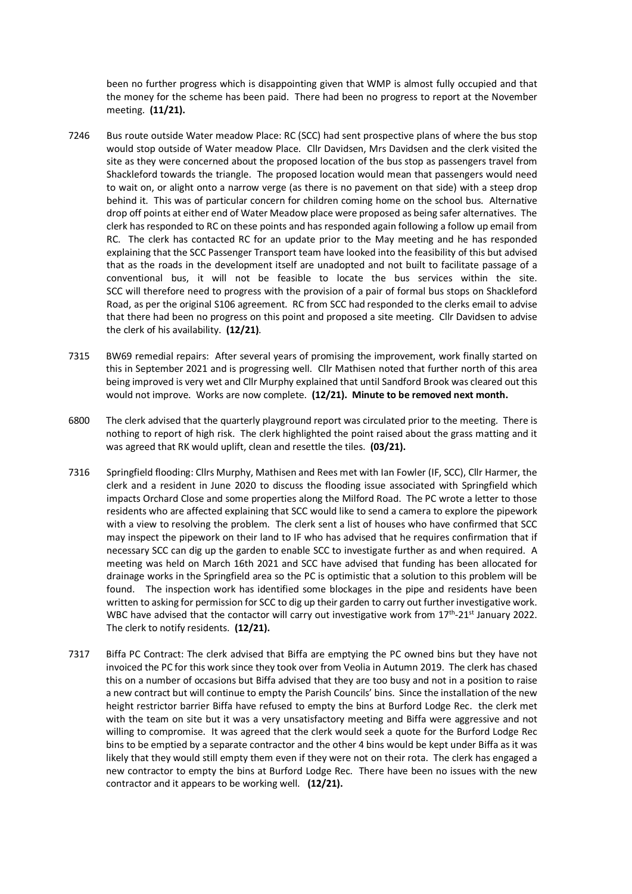been no further progress which is disappointing given that WMP is almost fully occupied and that the money for the scheme has been paid. There had been no progress to report at the November meeting. **(11/21).** 

- 7246 Bus route outside Water meadow Place: RC (SCC) had sent prospective plans of where the bus stop would stop outside of Water meadow Place. Cllr Davidsen, Mrs Davidsen and the clerk visited the site as they were concerned about the proposed location of the bus stop as passengers travel from Shackleford towards the triangle. The proposed location would mean that passengers would need to wait on, or alight onto a narrow verge (as there is no pavement on that side) with a steep drop behind it. This was of particular concern for children coming home on the school bus. Alternative drop off points at either end of Water Meadow place were proposed as being safer alternatives. The clerk has responded to RC on these points and has responded again following a follow up email from RC. The clerk has contacted RC for an update prior to the May meeting and he has responded explaining that the SCC Passenger Transport team have looked into the feasibility of this but advised that as the roads in the development itself are unadopted and not built to facilitate passage of a conventional bus, it will not be feasible to locate the bus services within the site. SCC will therefore need to progress with the provision of a pair of formal bus stops on Shackleford Road, as per the original S106 agreement. RC from SCC had responded to the clerks email to advise that there had been no progress on this point and proposed a site meeting. Cllr Davidsen to advise the clerk of his availability. **(12/21)**.
- 7315 BW69 remedial repairs: After several years of promising the improvement, work finally started on this in September 2021 and is progressing well. Cllr Mathisen noted that further north of this area being improved is very wet and Cllr Murphy explained that until Sandford Brook was cleared out this would not improve. Works are now complete. **(12/21). Minute to be removed next month.**
- 6800 The clerk advised that the quarterly playground report was circulated prior to the meeting. There is nothing to report of high risk. The clerk highlighted the point raised about the grass matting and it was agreed that RK would uplift, clean and resettle the tiles. **(03/21).**
- 7316 Springfield flooding: Cllrs Murphy, Mathisen and Rees met with Ian Fowler (IF, SCC), Cllr Harmer, the clerk and a resident in June 2020 to discuss the flooding issue associated with Springfield which impacts Orchard Close and some properties along the Milford Road. The PC wrote a letter to those residents who are affected explaining that SCC would like to send a camera to explore the pipework with a view to resolving the problem. The clerk sent a list of houses who have confirmed that SCC may inspect the pipework on their land to IF who has advised that he requires confirmation that if necessary SCC can dig up the garden to enable SCC to investigate further as and when required. A meeting was held on March 16th 2021 and SCC have advised that funding has been allocated for drainage works in the Springfield area so the PC is optimistic that a solution to this problem will be found. The inspection work has identified some blockages in the pipe and residents have been written to asking for permission for SCC to dig up their garden to carry out further investigative work. WBC have advised that the contactor will carry out investigative work from 17<sup>th</sup>-21<sup>st</sup> January 2022. The clerk to notify residents. **(12/21).**
- 7317 Biffa PC Contract: The clerk advised that Biffa are emptying the PC owned bins but they have not invoiced the PC for this work since they took over from Veolia in Autumn 2019. The clerk has chased this on a number of occasions but Biffa advised that they are too busy and not in a position to raise a new contract but will continue to empty the Parish Councils' bins. Since the installation of the new height restrictor barrier Biffa have refused to empty the bins at Burford Lodge Rec. the clerk met with the team on site but it was a very unsatisfactory meeting and Biffa were aggressive and not willing to compromise. It was agreed that the clerk would seek a quote for the Burford Lodge Rec bins to be emptied by a separate contractor and the other 4 bins would be kept under Biffa as it was likely that they would still empty them even if they were not on their rota. The clerk has engaged a new contractor to empty the bins at Burford Lodge Rec. There have been no issues with the new contractor and it appears to be working well. **(12/21).**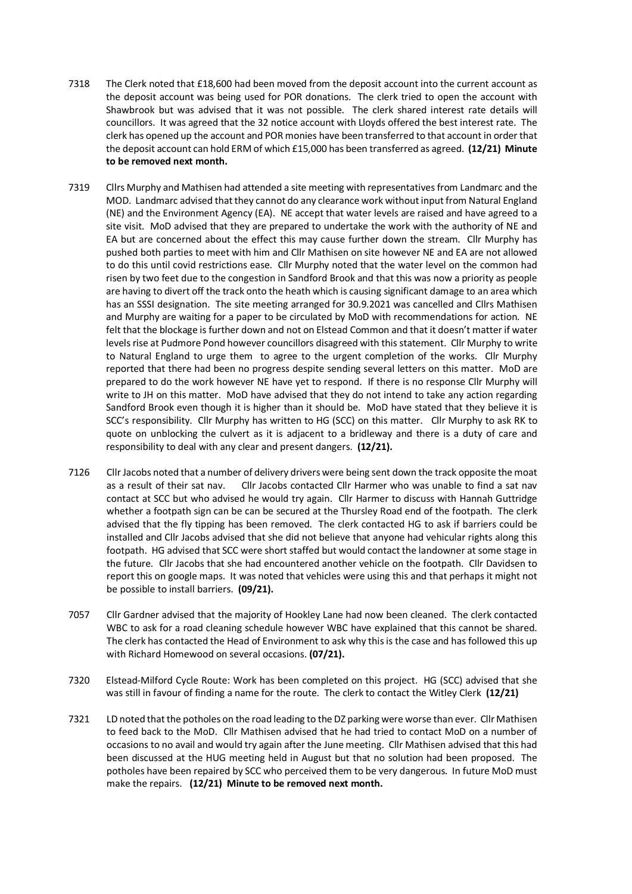- 7318 The Clerk noted that £18,600 had been moved from the deposit account into the current account as the deposit account was being used for POR donations. The clerk tried to open the account with Shawbrook but was advised that it was not possible. The clerk shared interest rate details will councillors. It was agreed that the 32 notice account with Lloyds offered the best interest rate. The clerk has opened up the account and POR monies have been transferred to that account in order that the deposit account can hold ERM of which £15,000 has been transferred as agreed. **(12/21) Minute to be removed next month.**
- 7319 Cllrs Murphy and Mathisen had attended a site meeting with representatives from Landmarc and the MOD. Landmarc advised that they cannot do any clearance work without input from Natural England (NE) and the Environment Agency (EA). NE accept that water levels are raised and have agreed to a site visit. MoD advised that they are prepared to undertake the work with the authority of NE and EA but are concerned about the effect this may cause further down the stream. Cllr Murphy has pushed both parties to meet with him and Cllr Mathisen on site however NE and EA are not allowed to do this until covid restrictions ease. Cllr Murphy noted that the water level on the common had risen by two feet due to the congestion in Sandford Brook and that this was now a priority as people are having to divert off the track onto the heath which is causing significant damage to an area which has an SSSI designation. The site meeting arranged for 30.9.2021 was cancelled and Cllrs Mathisen and Murphy are waiting for a paper to be circulated by MoD with recommendations for action. NE felt that the blockage is further down and not on Elstead Common and that it doesn't matter if water levels rise at Pudmore Pond however councillors disagreed with this statement. Cllr Murphy to write to Natural England to urge them to agree to the urgent completion of the works. Cllr Murphy reported that there had been no progress despite sending several letters on this matter. MoD are prepared to do the work however NE have yet to respond. If there is no response Cllr Murphy will write to JH on this matter. MoD have advised that they do not intend to take any action regarding Sandford Brook even though it is higher than it should be. MoD have stated that they believe it is SCC's responsibility. Cllr Murphy has written to HG (SCC) on this matter. Cllr Murphy to ask RK to quote on unblocking the culvert as it is adjacent to a bridleway and there is a duty of care and responsibility to deal with any clear and present dangers. **(12/21).**
- 7126 Cllr Jacobs noted that a number of delivery drivers were being sent down the track opposite the moat as a result of their sat nav. Cllr Jacobs contacted Cllr Harmer who was unable to find a sat nav contact at SCC but who advised he would try again. Cllr Harmer to discuss with Hannah Guttridge whether a footpath sign can be can be secured at the Thursley Road end of the footpath. The clerk advised that the fly tipping has been removed. The clerk contacted HG to ask if barriers could be installed and Cllr Jacobs advised that she did not believe that anyone had vehicular rights along this footpath. HG advised that SCC were short staffed but would contact the landowner at some stage in the future. Cllr Jacobs that she had encountered another vehicle on the footpath. Cllr Davidsen to report this on google maps. It was noted that vehicles were using this and that perhaps it might not be possible to install barriers. **(09/21).**
- 7057 Cllr Gardner advised that the majority of Hookley Lane had now been cleaned. The clerk contacted WBC to ask for a road cleaning schedule however WBC have explained that this cannot be shared. The clerk has contacted the Head of Environment to ask why this is the case and has followed this up with Richard Homewood on several occasions. **(07/21).**
- 7320 Elstead-Milford Cycle Route: Work has been completed on this project. HG (SCC) advised that she was still in favour of finding a name for the route. The clerk to contact the Witley Clerk **(12/21)**
- 7321 LD noted that the potholes on the road leading to the DZ parking were worse than ever. Cllr Mathisen to feed back to the MoD. Cllr Mathisen advised that he had tried to contact MoD on a number of occasions to no avail and would try again after the June meeting. Cllr Mathisen advised that this had been discussed at the HUG meeting held in August but that no solution had been proposed. The potholes have been repaired by SCC who perceived them to be very dangerous. In future MoD must make the repairs. **(12/21) Minute to be removed next month.**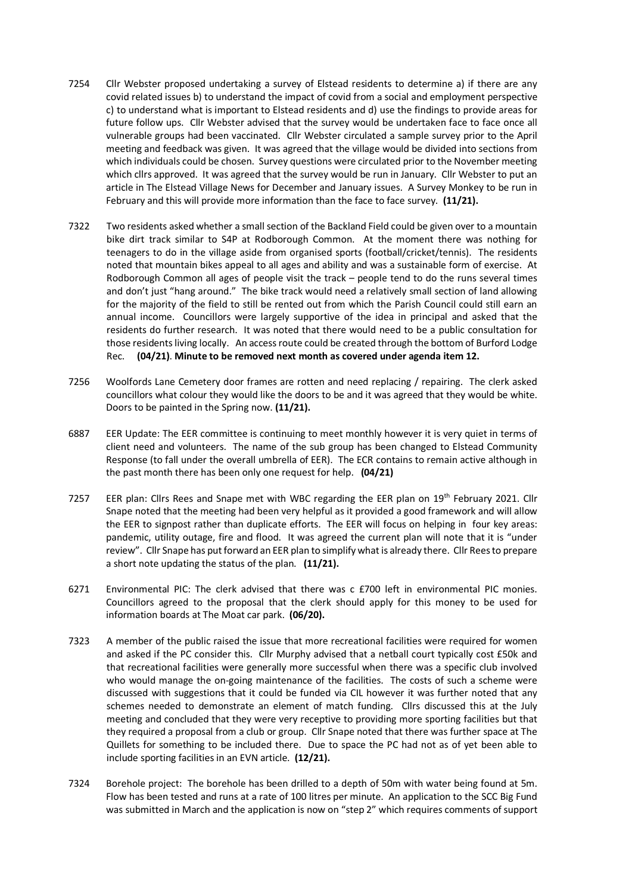- 7254 Cllr Webster proposed undertaking a survey of Elstead residents to determine a) if there are any covid related issues b) to understand the impact of covid from a social and employment perspective c) to understand what is important to Elstead residents and d) use the findings to provide areas for future follow ups. Cllr Webster advised that the survey would be undertaken face to face once all vulnerable groups had been vaccinated. Cllr Webster circulated a sample survey prior to the April meeting and feedback was given. It was agreed that the village would be divided into sections from which individuals could be chosen. Survey questions were circulated prior to the November meeting which cllrs approved. It was agreed that the survey would be run in January. Cllr Webster to put an article in The Elstead Village News for December and January issues. A Survey Monkey to be run in February and this will provide more information than the face to face survey. **(11/21).**
- 7322 Two residents asked whether a small section of the Backland Field could be given over to a mountain bike dirt track similar to S4P at Rodborough Common. At the moment there was nothing for teenagers to do in the village aside from organised sports (football/cricket/tennis). The residents noted that mountain bikes appeal to all ages and ability and was a sustainable form of exercise. At Rodborough Common all ages of people visit the track – people tend to do the runs several times and don't just "hang around." The bike track would need a relatively small section of land allowing for the majority of the field to still be rented out from which the Parish Council could still earn an annual income. Councillors were largely supportive of the idea in principal and asked that the residents do further research. It was noted that there would need to be a public consultation for those residents living locally. An access route could be created through the bottom of Burford Lodge Rec. **(04/21)**. **Minute to be removed next month as covered under agenda item 12.**
- 7256 Woolfords Lane Cemetery door frames are rotten and need replacing / repairing. The clerk asked councillors what colour they would like the doors to be and it was agreed that they would be white. Doors to be painted in the Spring now. **(11/21).**
- 6887 EER Update: The EER committee is continuing to meet monthly however it is very quiet in terms of client need and volunteers. The name of the sub group has been changed to Elstead Community Response (to fall under the overall umbrella of EER). The ECR contains to remain active although in the past month there has been only one request for help. **(04/21)**
- 7257 EER plan: Cllrs Rees and Snape met with WBC regarding the EER plan on 19<sup>th</sup> February 2021. Cllr Snape noted that the meeting had been very helpful as it provided a good framework and will allow the EER to signpost rather than duplicate efforts. The EER will focus on helping in four key areas: pandemic, utility outage, fire and flood. It was agreed the current plan will note that it is "under review". Cllr Snape has put forward an EER plan to simplify what is already there. Cllr Rees to prepare a short note updating the status of the plan. **(11/21).**
- 6271 Environmental PIC: The clerk advised that there was c £700 left in environmental PIC monies. Councillors agreed to the proposal that the clerk should apply for this money to be used for information boards at The Moat car park. **(06/20).**
- 7323 A member of the public raised the issue that more recreational facilities were required for women and asked if the PC consider this. Cllr Murphy advised that a netball court typically cost £50k and that recreational facilities were generally more successful when there was a specific club involved who would manage the on-going maintenance of the facilities. The costs of such a scheme were discussed with suggestions that it could be funded via CIL however it was further noted that any schemes needed to demonstrate an element of match funding. Cllrs discussed this at the July meeting and concluded that they were very receptive to providing more sporting facilities but that they required a proposal from a club or group. Cllr Snape noted that there was further space at The Quillets for something to be included there. Due to space the PC had not as of yet been able to include sporting facilities in an EVN article. **(12/21).**
- 7324 Borehole project: The borehole has been drilled to a depth of 50m with water being found at 5m. Flow has been tested and runs at a rate of 100 litres per minute. An application to the SCC Big Fund was submitted in March and the application is now on "step 2" which requires comments of support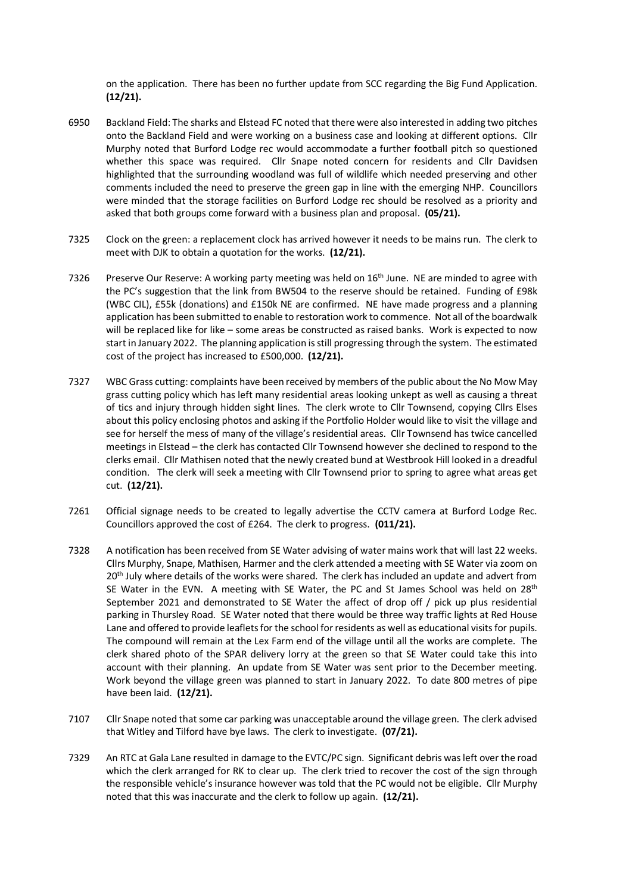on the application. There has been no further update from SCC regarding the Big Fund Application. **(12/21).**

- 6950 Backland Field: The sharks and Elstead FC noted that there were also interested in adding two pitches onto the Backland Field and were working on a business case and looking at different options. Cllr Murphy noted that Burford Lodge rec would accommodate a further football pitch so questioned whether this space was required. Cllr Snape noted concern for residents and Cllr Davidsen highlighted that the surrounding woodland was full of wildlife which needed preserving and other comments included the need to preserve the green gap in line with the emerging NHP. Councillors were minded that the storage facilities on Burford Lodge rec should be resolved as a priority and asked that both groups come forward with a business plan and proposal. **(05/21).**
- 7325 Clock on the green: a replacement clock has arrived however it needs to be mains run. The clerk to meet with DJK to obtain a quotation for the works. **(12/21).**
- 7326 Preserve Our Reserve: A working party meeting was held on 16<sup>th</sup> June. NE are minded to agree with the PC's suggestion that the link from BW504 to the reserve should be retained. Funding of £98k (WBC CIL), £55k (donations) and £150k NE are confirmed. NE have made progress and a planning application has been submitted to enable to restoration work to commence. Not all of the boardwalk will be replaced like for like – some areas be constructed as raised banks. Work is expected to now start in January 2022. The planning application is still progressing through the system. The estimated cost of the project has increased to £500,000. **(12/21).**
- 7327 WBC Grass cutting: complaints have been received by members of the public about the No Mow May grass cutting policy which has left many residential areas looking unkept as well as causing a threat of tics and injury through hidden sight lines. The clerk wrote to Cllr Townsend, copying Cllrs Elses about this policy enclosing photos and asking if the Portfolio Holder would like to visit the village and see for herself the mess of many of the village's residential areas. Cllr Townsend has twice cancelled meetings in Elstead – the clerk has contacted Cllr Townsend however she declined to respond to the clerks email. Cllr Mathisen noted that the newly created bund at Westbrook Hill looked in a dreadful condition. The clerk will seek a meeting with Cllr Townsend prior to spring to agree what areas get cut. **(12/21).**
- 7261 Official signage needs to be created to legally advertise the CCTV camera at Burford Lodge Rec. Councillors approved the cost of £264. The clerk to progress. **(011/21).**
- 7328 A notification has been received from SE Water advising of water mains work that will last 22 weeks. Cllrs Murphy, Snape, Mathisen, Harmer and the clerk attended a meeting with SE Water via zoom on 20<sup>th</sup> July where details of the works were shared. The clerk has included an update and advert from SE Water in the EVN. A meeting with SE Water, the PC and St James School was held on  $28<sup>th</sup>$ September 2021 and demonstrated to SE Water the affect of drop off / pick up plus residential parking in Thursley Road. SE Water noted that there would be three way traffic lights at Red House Lane and offered to provide leaflets for the school for residents as well as educational visits for pupils. The compound will remain at the Lex Farm end of the village until all the works are complete. The clerk shared photo of the SPAR delivery lorry at the green so that SE Water could take this into account with their planning. An update from SE Water was sent prior to the December meeting. Work beyond the village green was planned to start in January 2022. To date 800 metres of pipe have been laid. **(12/21).**
- 7107 Cllr Snape noted that some car parking was unacceptable around the village green. The clerk advised that Witley and Tilford have bye laws. The clerk to investigate. **(07/21).**
- 7329 An RTC at Gala Lane resulted in damage to the EVTC/PC sign. Significant debris was left over the road which the clerk arranged for RK to clear up. The clerk tried to recover the cost of the sign through the responsible vehicle's insurance however was told that the PC would not be eligible. Cllr Murphy noted that this was inaccurate and the clerk to follow up again. **(12/21).**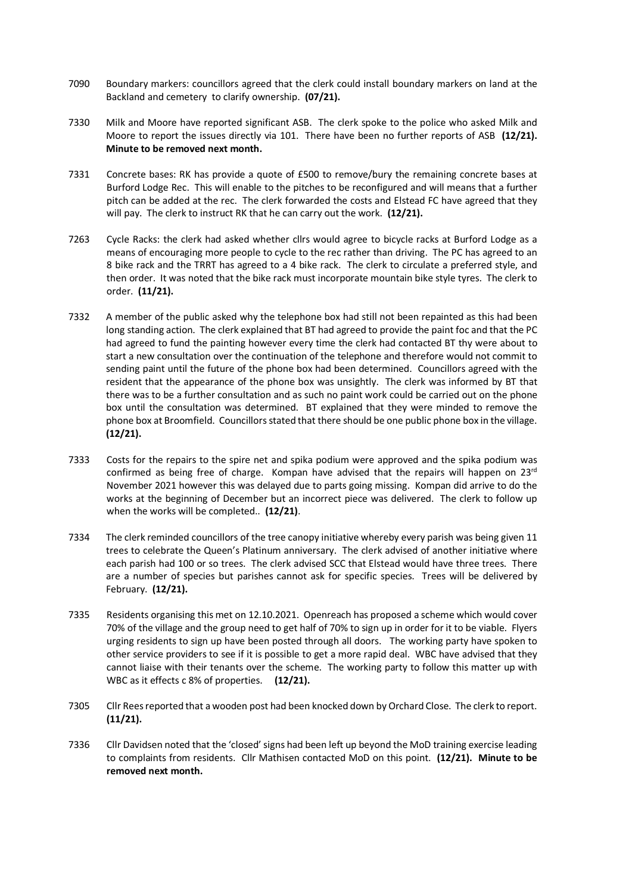- 7090 Boundary markers: councillors agreed that the clerk could install boundary markers on land at the Backland and cemetery to clarify ownership. **(07/21).**
- 7330 Milk and Moore have reported significant ASB. The clerk spoke to the police who asked Milk and Moore to report the issues directly via 101. There have been no further reports of ASB **(12/21). Minute to be removed next month.**
- 7331 Concrete bases: RK has provide a quote of £500 to remove/bury the remaining concrete bases at Burford Lodge Rec. This will enable to the pitches to be reconfigured and will means that a further pitch can be added at the rec. The clerk forwarded the costs and Elstead FC have agreed that they will pay. The clerk to instruct RK that he can carry out the work. **(12/21).**
- 7263 Cycle Racks: the clerk had asked whether cllrs would agree to bicycle racks at Burford Lodge as a means of encouraging more people to cycle to the rec rather than driving. The PC has agreed to an 8 bike rack and the TRRT has agreed to a 4 bike rack. The clerk to circulate a preferred style, and then order. It was noted that the bike rack must incorporate mountain bike style tyres. The clerk to order. **(11/21).**
- 7332 A member of the public asked why the telephone box had still not been repainted as this had been long standing action. The clerk explained that BT had agreed to provide the paint foc and that the PC had agreed to fund the painting however every time the clerk had contacted BT thy were about to start a new consultation over the continuation of the telephone and therefore would not commit to sending paint until the future of the phone box had been determined. Councillors agreed with the resident that the appearance of the phone box was unsightly. The clerk was informed by BT that there was to be a further consultation and as such no paint work could be carried out on the phone box until the consultation was determined. BT explained that they were minded to remove the phone box at Broomfield. Councillors stated that there should be one public phone box in the village. **(12/21).**
- 7333 Costs for the repairs to the spire net and spika podium were approved and the spika podium was confirmed as being free of charge. Kompan have advised that the repairs will happen on  $23<sup>rd</sup>$ November 2021 however this was delayed due to parts going missing. Kompan did arrive to do the works at the beginning of December but an incorrect piece was delivered. The clerk to follow up when the works will be completed.. **(12/21)**.
- 7334 The clerk reminded councillors of the tree canopy initiative whereby every parish was being given 11 trees to celebrate the Queen's Platinum anniversary. The clerk advised of another initiative where each parish had 100 or so trees. The clerk advised SCC that Elstead would have three trees. There are a number of species but parishes cannot ask for specific species. Trees will be delivered by February. **(12/21).**
- 7335 Residents organising this met on 12.10.2021. Openreach has proposed a scheme which would cover 70% of the village and the group need to get half of 70% to sign up in order for it to be viable. Flyers urging residents to sign up have been posted through all doors. The working party have spoken to other service providers to see if it is possible to get a more rapid deal. WBC have advised that they cannot liaise with their tenants over the scheme. The working party to follow this matter up with WBC as it effects c 8% of properties. **(12/21).**
- 7305 Cllr Rees reported that a wooden post had been knocked down by Orchard Close. The clerk to report. **(11/21).**
- 7336 Cllr Davidsen noted that the 'closed' signs had been left up beyond the MoD training exercise leading to complaints from residents. Cllr Mathisen contacted MoD on this point. **(12/21). Minute to be removed next month.**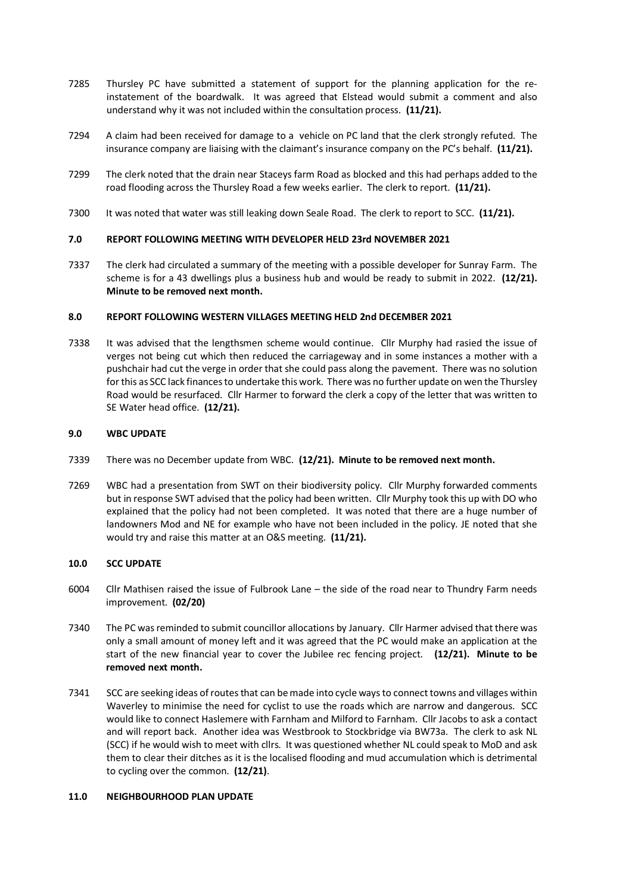- 7285 Thursley PC have submitted a statement of support for the planning application for the reinstatement of the boardwalk. It was agreed that Elstead would submit a comment and also understand why it was not included within the consultation process. **(11/21).**
- 7294 A claim had been received for damage to a vehicle on PC land that the clerk strongly refuted. The insurance company are liaising with the claimant's insurance company on the PC's behalf. **(11/21).**
- 7299 The clerk noted that the drain near Staceys farm Road as blocked and this had perhaps added to the road flooding across the Thursley Road a few weeks earlier. The clerk to report. **(11/21).**
- 7300 It was noted that water was still leaking down Seale Road. The clerk to report to SCC. **(11/21).**

## **7.0 REPORT FOLLOWING MEETING WITH DEVELOPER HELD 23rd NOVEMBER 2021**

7337 The clerk had circulated a summary of the meeting with a possible developer for Sunray Farm. The scheme is for a 43 dwellings plus a business hub and would be ready to submit in 2022. **(12/21). Minute to be removed next month.**

#### **8.0 REPORT FOLLOWING WESTERN VILLAGES MEETING HELD 2nd DECEMBER 2021**

7338 It was advised that the lengthsmen scheme would continue. Cllr Murphy had rasied the issue of verges not being cut which then reduced the carriageway and in some instances a mother with a pushchair had cut the verge in order that she could pass along the pavement. There was no solution for this as SCC lack finances to undertake this work. There was no further update on wen the Thursley Road would be resurfaced. Cllr Harmer to forward the clerk a copy of the letter that was written to SE Water head office. **(12/21).**

#### **9.0 WBC UPDATE**

- 7339 There was no December update from WBC. **(12/21). Minute to be removed next month.**
- 7269 WBC had a presentation from SWT on their biodiversity policy. Cllr Murphy forwarded comments but in response SWT advised that the policy had been written. Cllr Murphy took this up with DO who explained that the policy had not been completed. It was noted that there are a huge number of landowners Mod and NE for example who have not been included in the policy. JE noted that she would try and raise this matter at an O&S meeting. **(11/21).**

#### **10.0 SCC UPDATE**

- 6004 Cllr Mathisen raised the issue of Fulbrook Lane the side of the road near to Thundry Farm needs improvement. **(02/20)**
- 7340 The PC was reminded to submit councillor allocations by January. Cllr Harmer advised that there was only a small amount of money left and it was agreed that the PC would make an application at the start of the new financial year to cover the Jubilee rec fencing project. **(12/21). Minute to be removed next month.**
- 7341 SCC are seeking ideas of routes that can be made into cycle ways to connect towns and villages within Waverley to minimise the need for cyclist to use the roads which are narrow and dangerous. SCC would like to connect Haslemere with Farnham and Milford to Farnham. Cllr Jacobs to ask a contact and will report back. Another idea was Westbrook to Stockbridge via BW73a. The clerk to ask NL (SCC) if he would wish to meet with cllrs. It was questioned whether NL could speak to MoD and ask them to clear their ditches as it is the localised flooding and mud accumulation which is detrimental to cycling over the common. **(12/21)**.

#### **11.0 NEIGHBOURHOOD PLAN UPDATE**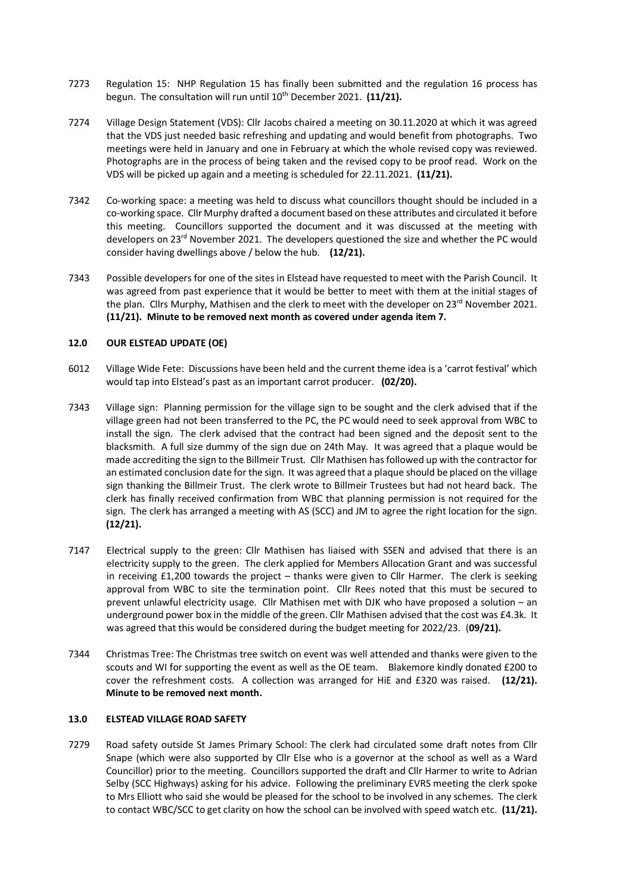- 7273 Regulation 15: NHP Regulation 15 has finally been submitted and the regulation 16 process has begun. The consultation will run until 10<sup>th</sup> December 2021. (11/21).
- 7274 Village Design Statement (VDS): Cllr Jacobs chaired a meeting on 30.11.2020 at which it was agreed that the VDS just needed basic refreshing and updating and would benefit from photographs. Two meetings were held in January and one in February at which the whole revised copy was reviewed. Photographs are in the process of being taken and the revised copy to be proof read. Work on the VDS will be picked up again and a meeting is scheduled for 22.11.2021. **(11/21).**
- 7342 Co-working space: a meeting was held to discuss what councillors thought should be included in a co-working space. Cllr Murphy drafted a document based on these attributes and circulated it before this meeting. Councillors supported the document and it was discussed at the meeting with developers on 23<sup>rd</sup> November 2021. The developers questioned the size and whether the PC would consider having dwellings above / below the hub. **(12/21).**
- 7343 Possible developers for one of the sites in Elstead have requested to meet with the Parish Council. It was agreed from past experience that it would be better to meet with them at the initial stages of the plan. Cllrs Murphy, Mathisen and the clerk to meet with the developer on 23rd November 2021. **(11/21). Minute to be removed next month as covered under agenda item 7.**

## **12.0 OUR ELSTEAD UPDATE (OE)**

- 6012 Village Wide Fete: Discussions have been held and the current theme idea is a 'carrot festival' which would tap into Elstead's past as an important carrot producer. **(02/20).**
- 7343 Village sign: Planning permission for the village sign to be sought and the clerk advised that if the village green had not been transferred to the PC, the PC would need to seek approval from WBC to install the sign. The clerk advised that the contract had been signed and the deposit sent to the blacksmith. A full size dummy of the sign due on 24th May. It was agreed that a plaque would be made accrediting the sign to the Billmeir Trust. Cllr Mathisen has followed up with the contractor for an estimated conclusion date for the sign. It was agreed that a plaque should be placed on the village sign thanking the Billmeir Trust. The clerk wrote to Billmeir Trustees but had not heard back. The clerk has finally received confirmation from WBC that planning permission is not required for the sign. The clerk has arranged a meeting with AS (SCC) and JM to agree the right location for the sign. **(12/21).**
- 7147 Electrical supply to the green: Cllr Mathisen has liaised with SSEN and advised that there is an electricity supply to the green. The clerk applied for Members Allocation Grant and was successful in receiving £1,200 towards the project – thanks were given to Cllr Harmer. The clerk is seeking approval from WBC to site the termination point. Cllr Rees noted that this must be secured to prevent unlawful electricity usage. Cllr Mathisen met with DJK who have proposed a solution – an underground power box in the middle of the green. Cllr Mathisen advised that the cost was £4.3k. It was agreed that this would be considered during the budget meeting for 2022/23. (**09/21).**
- 7344 Christmas Tree: The Christmas tree switch on event was well attended and thanks were given to the scouts and WI for supporting the event as well as the OE team. Blakemore kindly donated £200 to cover the refreshment costs. A collection was arranged for HiE and £320 was raised. **(12/21). Minute to be removed next month.**

## **13.0 ELSTEAD VILLAGE ROAD SAFETY**

7279 Road safety outside St James Primary School: The clerk had circulated some draft notes from Cllr Snape (which were also supported by Cllr Else who is a governor at the school as well as a Ward Councillor) prior to the meeting. Councillors supported the draft and Cllr Harmer to write to Adrian Selby (SCC Highways) asking for his advice. Following the preliminary EVRS meeting the clerk spoke to Mrs Elliott who said she would be pleased for the school to be involved in any schemes. The clerk to contact WBC/SCC to get clarity on how the school can be involved with speed watch etc. **(11/21).**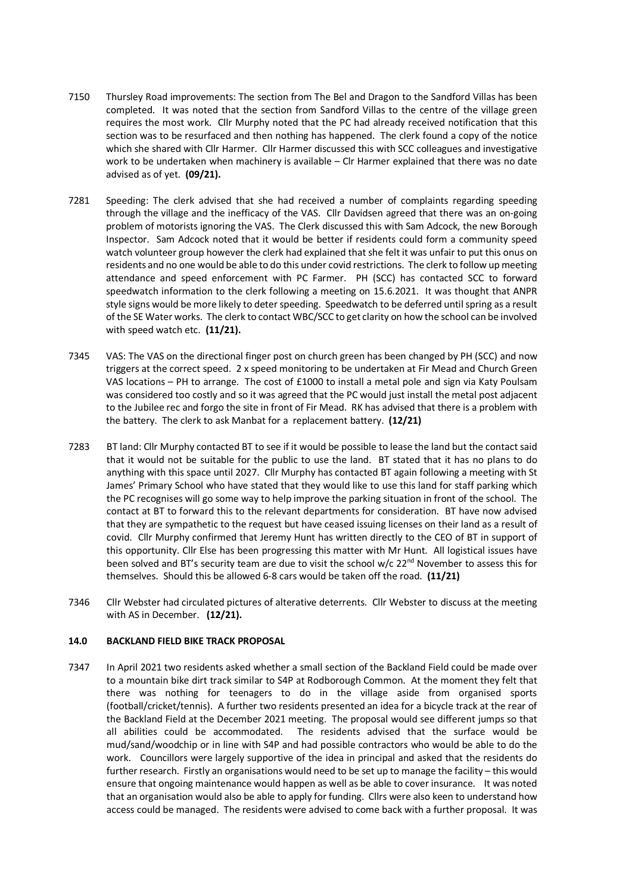- 7150 Thursley Road improvements: The section from The Bel and Dragon to the Sandford Villas has been completed. It was noted that the section from Sandford Villas to the centre of the village green requires the most work. Cllr Murphy noted that the PC had already received notification that this section was to be resurfaced and then nothing has happened. The clerk found a copy of the notice which she shared with Cllr Harmer. Cllr Harmer discussed this with SCC colleagues and investigative work to be undertaken when machinery is available – Clr Harmer explained that there was no date advised as of yet. **(09/21).**
- 7281 Speeding: The clerk advised that she had received a number of complaints regarding speeding through the village and the inefficacy of the VAS. Cllr Davidsen agreed that there was an on-going problem of motorists ignoring the VAS. The Clerk discussed this with Sam Adcock, the new Borough Inspector. Sam Adcock noted that it would be better if residents could form a community speed watch volunteer group however the clerk had explained that she felt it was unfair to put this onus on residents and no one would be able to do this under covid restrictions. The clerk to follow up meeting attendance and speed enforcement with PC Farmer. PH (SCC) has contacted SCC to forward speedwatch information to the clerk following a meeting on 15.6.2021. It was thought that ANPR style signs would be more likely to deter speeding. Speedwatch to be deferred until spring as a result of the SE Water works. The clerk to contact WBC/SCC to get clarity on how the school can be involved with speed watch etc. **(11/21).**
- 7345 VAS: The VAS on the directional finger post on church green has been changed by PH (SCC) and now triggers at the correct speed. 2 x speed monitoring to be undertaken at Fir Mead and Church Green VAS locations – PH to arrange. The cost of £1000 to install a metal pole and sign via Katy Poulsam was considered too costly and so it was agreed that the PC would just install the metal post adjacent to the Jubilee rec and forgo the site in front of Fir Mead. RK has advised that there is a problem with the battery. The clerk to ask Manbat for a replacement battery. **(12/21)**
- 7283 BT land: Cllr Murphy contacted BT to see if it would be possible to lease the land but the contact said that it would not be suitable for the public to use the land. BT stated that it has no plans to do anything with this space until 2027. Cllr Murphy has contacted BT again following a meeting with St James' Primary School who have stated that they would like to use this land for staff parking which the PC recognises will go some way to help improve the parking situation in front of the school. The contact at BT to forward this to the relevant departments for consideration. BT have now advised that they are sympathetic to the request but have ceased issuing licenses on their land as a result of covid. Cllr Murphy confirmed that Jeremy Hunt has written directly to the CEO of BT in support of this opportunity. Cllr Else has been progressing this matter with Mr Hunt. All logistical issues have been solved and BT's security team are due to visit the school w/c 22<sup>nd</sup> November to assess this for themselves. Should this be allowed 6-8 cars would be taken off the road. **(11/21)**
- 7346 Cllr Webster had circulated pictures of alterative deterrents. Cllr Webster to discuss at the meeting with AS in December. **(12/21).**

#### **14.0 BACKLAND FIELD BIKE TRACK PROPOSAL**

7347 In April 2021 two residents asked whether a small section of the Backland Field could be made over to a mountain bike dirt track similar to S4P at Rodborough Common. At the moment they felt that there was nothing for teenagers to do in the village aside from organised sports (football/cricket/tennis). A further two residents presented an idea for a bicycle track at the rear of the Backland Field at the December 2021 meeting. The proposal would see different jumps so that all abilities could be accommodated. The residents advised that the surface would be mud/sand/woodchip or in line with S4P and had possible contractors who would be able to do the work. Councillors were largely supportive of the idea in principal and asked that the residents do further research. Firstly an organisations would need to be set up to manage the facility – this would ensure that ongoing maintenance would happen as well as be able to cover insurance. It was noted that an organisation would also be able to apply for funding. Cllrs were also keen to understand how access could be managed. The residents were advised to come back with a further proposal. It was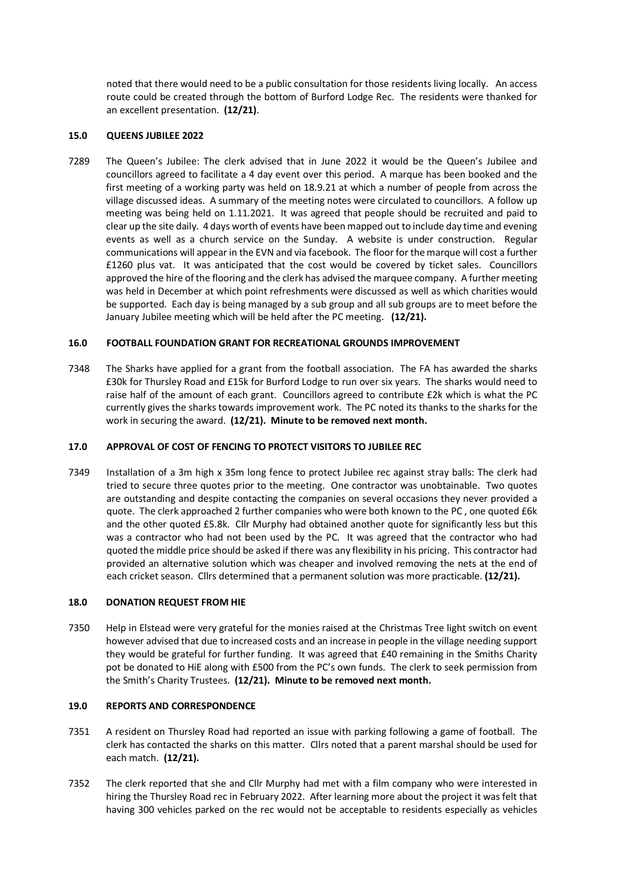noted that there would need to be a public consultation for those residents living locally. An access route could be created through the bottom of Burford Lodge Rec. The residents were thanked for an excellent presentation. **(12/21)**.

## **15.0 QUEENS JUBILEE 2022**

7289 The Queen's Jubilee: The clerk advised that in June 2022 it would be the Queen's Jubilee and councillors agreed to facilitate a 4 day event over this period. A marque has been booked and the first meeting of a working party was held on 18.9.21 at which a number of people from across the village discussed ideas. A summary of the meeting notes were circulated to councillors. A follow up meeting was being held on 1.11.2021. It was agreed that people should be recruited and paid to clear up the site daily. 4 days worth of events have been mapped out to include day time and evening events as well as a church service on the Sunday. A website is under construction. Regular communications will appear in the EVN and via facebook. The floor for the marque will cost a further £1260 plus vat. It was anticipated that the cost would be covered by ticket sales. Councillors approved the hire of the flooring and the clerk has advised the marquee company. A further meeting was held in December at which point refreshments were discussed as well as which charities would be supported. Each day is being managed by a sub group and all sub groups are to meet before the January Jubilee meeting which will be held after the PC meeting. **(12/21).** 

## **16.0 FOOTBALL FOUNDATION GRANT FOR RECREATIONAL GROUNDS IMPROVEMENT**

7348 The Sharks have applied for a grant from the football association. The FA has awarded the sharks £30k for Thursley Road and £15k for Burford Lodge to run over six years. The sharks would need to raise half of the amount of each grant. Councillors agreed to contribute £2k which is what the PC currently gives the sharks towards improvement work. The PC noted its thanks to the sharks for the work in securing the award. **(12/21). Minute to be removed next month.**

## **17.0 APPROVAL OF COST OF FENCING TO PROTECT VISITORS TO JUBILEE REC**

7349 Installation of a 3m high x 35m long fence to protect Jubilee rec against stray balls: The clerk had tried to secure three quotes prior to the meeting. One contractor was unobtainable. Two quotes are outstanding and despite contacting the companies on several occasions they never provided a quote. The clerk approached 2 further companies who were both known to the PC , one quoted £6k and the other quoted £5.8k. Cllr Murphy had obtained another quote for significantly less but this was a contractor who had not been used by the PC. It was agreed that the contractor who had quoted the middle price should be asked if there was any flexibility in his pricing. This contractor had provided an alternative solution which was cheaper and involved removing the nets at the end of each cricket season. Cllrs determined that a permanent solution was more practicable. **(12/21).**

#### **18.0 DONATION REQUEST FROM HIE**

7350 Help in Elstead were very grateful for the monies raised at the Christmas Tree light switch on event however advised that due to increased costs and an increase in people in the village needing support they would be grateful for further funding. It was agreed that £40 remaining in the Smiths Charity pot be donated to HiE along with £500 from the PC's own funds. The clerk to seek permission from the Smith's Charity Trustees. **(12/21). Minute to be removed next month.**

#### **19.0 REPORTS AND CORRESPONDENCE**

- 7351 A resident on Thursley Road had reported an issue with parking following a game of football. The clerk has contacted the sharks on this matter. Cllrs noted that a parent marshal should be used for each match. **(12/21).**
- 7352 The clerk reported that she and Cllr Murphy had met with a film company who were interested in hiring the Thursley Road rec in February 2022. After learning more about the project it was felt that having 300 vehicles parked on the rec would not be acceptable to residents especially as vehicles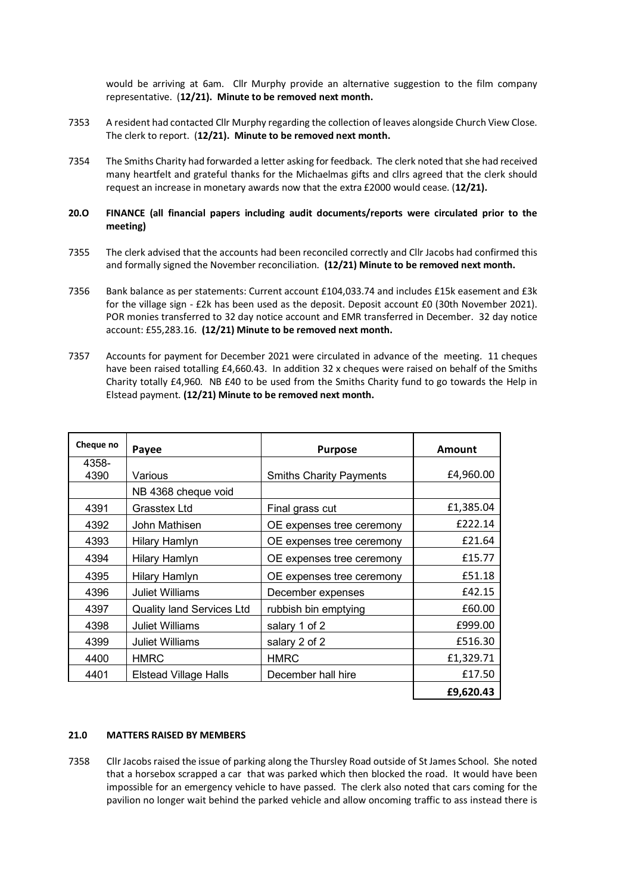would be arriving at 6am. Cllr Murphy provide an alternative suggestion to the film company representative. (**12/21). Minute to be removed next month.** 

- 7353 A resident had contacted Cllr Murphy regarding the collection of leaves alongside Church View Close. The clerk to report. (**12/21). Minute to be removed next month.**
- 7354 The Smiths Charity had forwarded a letter asking for feedback. The clerk noted that she had received many heartfelt and grateful thanks for the Michaelmas gifts and cllrs agreed that the clerk should request an increase in monetary awards now that the extra £2000 would cease. (**12/21).**

## **20.O FINANCE (all financial papers including audit documents/reports were circulated prior to the meeting)**

- 7355 The clerk advised that the accounts had been reconciled correctly and Cllr Jacobs had confirmed this and formally signed the November reconciliation. **(12/21) Minute to be removed next month.**
- 7356 Bank balance as per statements: Current account £104,033.74 and includes £15k easement and £3k for the village sign - £2k has been used as the deposit. Deposit account £0 (30th November 2021). POR monies transferred to 32 day notice account and EMR transferred in December. 32 day notice account: £55,283.16. **(12/21) Minute to be removed next month.**
- 7357 Accounts for payment for December 2021 were circulated in advance of the meeting. 11 cheques have been raised totalling £4,660.43. In addition 32 x cheques were raised on behalf of the Smiths Charity totally £4,960. NB £40 to be used from the Smiths Charity fund to go towards the Help in Elstead payment. **(12/21) Minute to be removed next month.**

| Cheque no | Payee                            | <b>Purpose</b>                 | Amount    |
|-----------|----------------------------------|--------------------------------|-----------|
| 4358-     |                                  |                                |           |
| 4390      | Various                          | <b>Smiths Charity Payments</b> | £4,960.00 |
|           | NB 4368 cheque void              |                                |           |
| 4391      | Grasstex Ltd                     | Final grass cut                | £1,385.04 |
| 4392      | John Mathisen                    | OE expenses tree ceremony      | £222.14   |
| 4393      | Hilary Hamlyn                    | OE expenses tree ceremony      | £21.64    |
| 4394      | Hilary Hamlyn                    | OE expenses tree ceremony      | £15.77    |
| 4395      | Hilary Hamlyn                    | OE expenses tree ceremony      | £51.18    |
| 4396      | <b>Juliet Williams</b>           | December expenses              | £42.15    |
| 4397      | <b>Quality land Services Ltd</b> | rubbish bin emptying           | £60.00    |
| 4398      | <b>Juliet Williams</b>           | salary 1 of 2                  | £999.00   |
| 4399      | <b>Juliet Williams</b>           | salary 2 of 2                  | £516.30   |
| 4400      | <b>HMRC</b>                      | <b>HMRC</b>                    | £1,329.71 |
| 4401      | <b>Elstead Village Halls</b>     | December hall hire             | £17.50    |
|           |                                  |                                | £9,620.43 |

#### **21.0 MATTERS RAISED BY MEMBERS**

7358 Cllr Jacobs raised the issue of parking along the Thursley Road outside of St James School. She noted that a horsebox scrapped a car that was parked which then blocked the road. It would have been impossible for an emergency vehicle to have passed. The clerk also noted that cars coming for the pavilion no longer wait behind the parked vehicle and allow oncoming traffic to ass instead there is